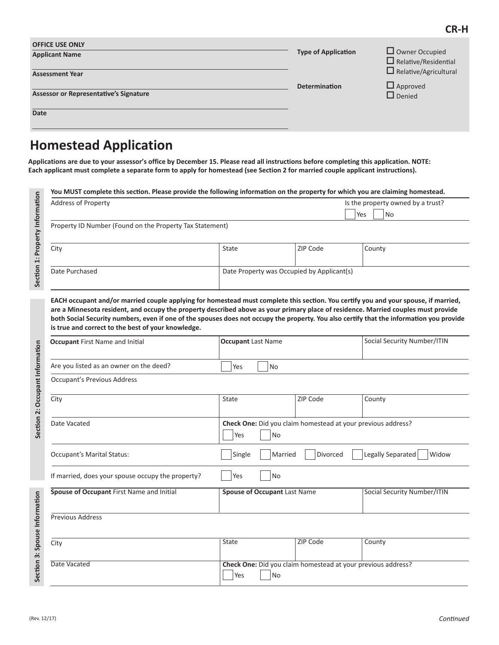| <b>OFFICE USE ONLY</b><br><b>Applicant Name</b><br><b>Assessment Year</b> | <b>Type of Application</b> | $\Box$ Owner Occupied<br>$\Box$ Relative/Residential<br>$\Box$ Relative/Agricultural |
|---------------------------------------------------------------------------|----------------------------|--------------------------------------------------------------------------------------|
| Assessor or Representative's Signature<br>Date                            | <b>Determination</b>       | $\Box$ Approved<br>$\Box$ Denied                                                     |

# **Homestead Application**

**Applications are due to your assessor's office by December 15. Please read all instructions before completing this application. NOTE: Each applicant must complete a separate form to apply for homestead (see Section 2 for married couple applicant instructions).**

| <b>Address of Property</b>                                                                                                                                                                                                                                                                                                                                                                                                                                                                                            |                                            |          | Is the property owned by a trust? |
|-----------------------------------------------------------------------------------------------------------------------------------------------------------------------------------------------------------------------------------------------------------------------------------------------------------------------------------------------------------------------------------------------------------------------------------------------------------------------------------------------------------------------|--------------------------------------------|----------|-----------------------------------|
|                                                                                                                                                                                                                                                                                                                                                                                                                                                                                                                       |                                            |          | <b>No</b><br>Yes                  |
| Property ID Number (Found on the Property Tax Statement)                                                                                                                                                                                                                                                                                                                                                                                                                                                              |                                            |          |                                   |
| City                                                                                                                                                                                                                                                                                                                                                                                                                                                                                                                  | State                                      | ZIP Code | County                            |
| Date Purchased                                                                                                                                                                                                                                                                                                                                                                                                                                                                                                        | Date Property was Occupied by Applicant(s) |          |                                   |
|                                                                                                                                                                                                                                                                                                                                                                                                                                                                                                                       |                                            |          |                                   |
|                                                                                                                                                                                                                                                                                                                                                                                                                                                                                                                       |                                            |          |                                   |
| EACH occupant and/or married couple applying for homestead must complete this section. You certify you and your spouse, if married,<br>are a Minnesota resident, and occupy the property described above as your primary place of residence. Married couples must provide<br>both Social Security numbers, even if one of the spouses does not occupy the property. You also certify that the information you provide<br>is true and correct to the best of your knowledge.<br><b>Occupant First Name and Initial</b> | <b>Occupant Last Name</b>                  |          | Social Security Number/ITIN       |

| <b>Occupant</b> First Name and Initial            | <b>Occupant</b> Last Name                                                        | Social Security Number/This        |
|---------------------------------------------------|----------------------------------------------------------------------------------|------------------------------------|
| Are you listed as an owner on the deed?           | Yes<br>No                                                                        |                                    |
| <b>Occupant's Previous Address</b>                |                                                                                  |                                    |
| City                                              | ZIP Code<br>State                                                                | County                             |
| Date Vacated                                      | Check One: Did you claim homestead at your previous address?<br>Yes<br><b>No</b> |                                    |
| <b>Occupant's Marital Status:</b>                 | Single<br>Married<br>Divorced                                                    | Legally Separated<br>Widow         |
| If married, does your spouse occupy the property? | Yes<br>No                                                                        |                                    |
| Spouse of Occupant First Name and Initial         | <b>Spouse of Occupant Last Name</b>                                              | <b>Social Security Number/ITIN</b> |
| Previous Address                                  |                                                                                  |                                    |
| City                                              | ZIP Code<br>State                                                                | County                             |
| Date Vacated                                      | Check One: Did you claim homestead at your previous address?<br>Yes<br><b>No</b> |                                    |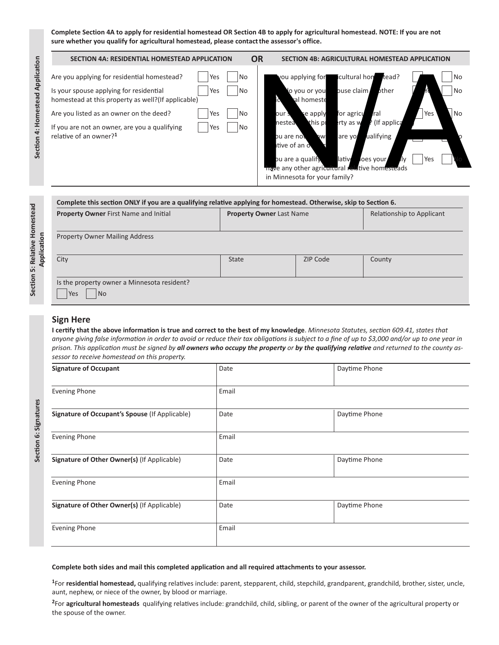**Complete Section 4A to apply for residential homestead OR Section 4B to apply for agricultural homestead. NOTE: If you are not**  sure whether you qualify for agricultural homestead, please contact the assessor's office.

| Are you applying for residential homestead?<br>icultural hom<br><b>No</b><br>you applying for<br>No<br>tead?<br>Yes<br>bther<br>puse claim<br>Is your spouse applying for residential<br>No<br><b>No</b><br>Yes<br>lo you or you<br>ral homeste<br>homestead at this property as well? (If applicable)<br>Yes<br>No<br>Are you listed as an owner on the deed?<br>No<br>for agricu<br>ral<br>Yes<br>se apply<br>our s<br>(If applica<br>this pr<br>rty as w<br>nestea<br>No<br>If you are not an owner, are you a qualifying<br>Yes<br>relative of an owner? <sup>1</sup><br>ualifying<br>pu are not<br>are yor<br><b>DW</b><br>itive of an o |
|-----------------------------------------------------------------------------------------------------------------------------------------------------------------------------------------------------------------------------------------------------------------------------------------------------------------------------------------------------------------------------------------------------------------------------------------------------------------------------------------------------------------------------------------------------------------------------------------------------------------------------------------------|
| lative<br>Yes<br>pu are a qualify<br>loes your<br>ľlv<br>have any other agricultural relative homesteads<br>in Minnesota for your family?                                                                                                                                                                                                                                                                                                                                                                                                                                                                                                     |

| <b>State</b> | ZIP Code | County |
|--------------|----------|--------|
|              |          |        |

#### **Sign Here**

**I certify that the above information is true and correct to the best of my knowledge**. *Minnesota Statutes, section 609.41, states that anyone giving false information in order to avoid or reduce their tax obligations is subject to a fine of up to \$3,000 and/or up to one year in prison. This application must be signed by all owners who occupy the property or by the qualifying relative and returned to the county assessor to receive homestead on this property.*

| <b>Signature of Occupant</b>                   | Date  | Daytime Phone |
|------------------------------------------------|-------|---------------|
| <b>Evening Phone</b>                           | Email |               |
| Signature of Occupant's Spouse (If Applicable) | Date  | Daytime Phone |
| Evening Phone                                  | Email |               |
| Signature of Other Owner(s) (If Applicable)    | Date  | Daytime Phone |
| <b>Evening Phone</b>                           | Email |               |
| Signature of Other Owner(s) (If Applicable)    | Date  | Daytime Phone |
| <b>Evening Phone</b>                           | Email |               |

#### **Complete both sides and mail this completed application and all required attachments to your assessor.**

**<sup>1</sup>**For **residential homestead,** qualifying relatives include: parent, stepparent, child, stepchild, grandparent, grandchild, brother, sister, uncle, aunt, nephew, or niece of the owner, by blood or marriage.

**<sup>2</sup>**For **agricultural homesteads** qualifying relatives include: grandchild, child, sibling, or parent of the owner of the agricultural property or the spouse of the owner.

**Section 6: Signatures**

Section 6: Signatures